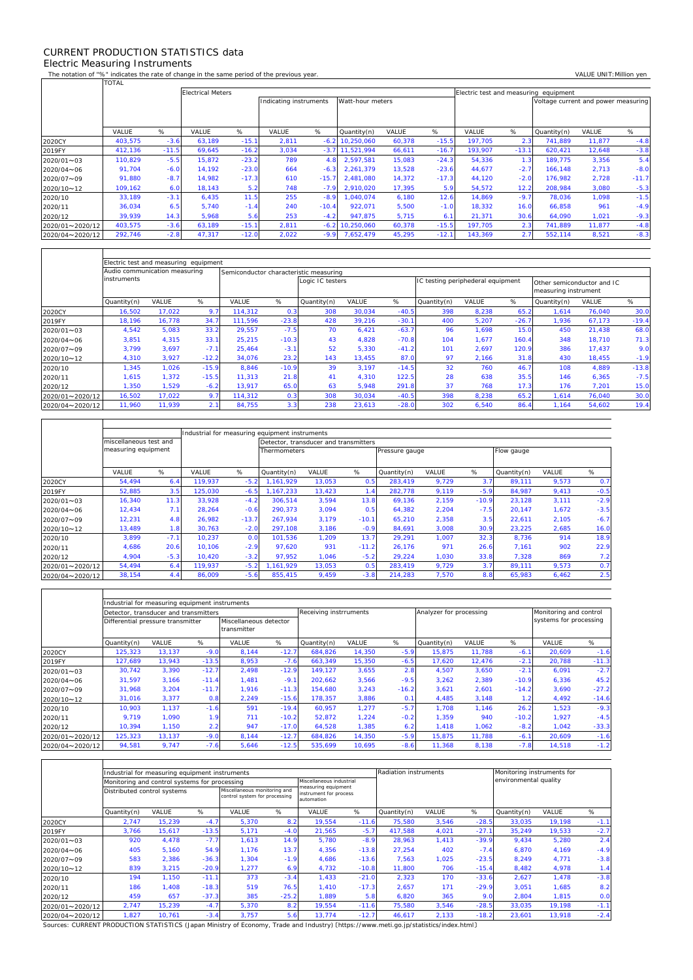## CURRENT PRODUCTION STATISTICS data Electric Measuring Instruments

 $\Gamma$ 

 $\overline{\mathsf{T}}$ 

٦

The notation of "%" indicates the rate of change in the same period of the previous year. VALUE UNIT:Million yen<br>TOTAL TOTAL

|                 |         |         | <b>Electrical Meters</b> |         |                        |         |                  |        |         | Electric test and measuring equipment |         |                                     |        |         |  |
|-----------------|---------|---------|--------------------------|---------|------------------------|---------|------------------|--------|---------|---------------------------------------|---------|-------------------------------------|--------|---------|--|
|                 |         |         |                          |         | Indicating instruments |         | Watt-hour meters |        |         |                                       |         | Voltage current and power measuring |        |         |  |
|                 |         |         |                          |         |                        |         |                  |        |         |                                       |         |                                     |        |         |  |
|                 |         |         |                          |         |                        |         |                  |        |         |                                       |         |                                     |        |         |  |
|                 | VALUE   | %       | VALUE                    | %       | VALUE                  | %       | Quantity(n)      | VALUE  | %       | VALUE                                 | %       | Quantity(n)                         | VALUE  | %       |  |
| 2020CY          | 403,575 | $-3.6$  | 63,189                   | $-15.1$ | 2,811                  | $-6.2$  | 10,250,060       | 60,378 | $-15.5$ | 197,705                               | 2.3     | 741,889                             | 11,877 | $-4.8$  |  |
| 2019FY          | 412,136 | $-11.5$ | 69,645                   | $-16.2$ | 3,034                  | $-3.7$  | 11,521,994       | 66,611 | $-16.7$ | 193.907                               | $-13.1$ | 620.421                             | 12,648 | $-3.8$  |  |
| 2020/01~03      | 110,829 | $-5.5$  | 15,872                   | $-23.2$ | 789                    | 4.8     | 2.597.581        | 15,083 | $-24.3$ | 54,336                                | 1.3     | 189.775                             | 3,356  | 5.4     |  |
| 2020/04~06      | 91,704  | $-6.0$  | 14,192                   | $-23.0$ | 664                    | $-6.3$  | 2.261.379        | 13,528 | $-23.6$ | 44,677                                | $-2.7$  | 166.148                             | 2,713  | $-8.0$  |  |
| 2020/07~09      | 91,880  | $-8.7$  | 14.982                   | $-17.3$ | 610                    | $-15.7$ | 2.481.080        | 14,372 | $-17.3$ | 44,120                                | $-2.0$  | 176.982                             | 2,728  | $-11.7$ |  |
| 2020/10~12      | 109,162 | 6.0     | 18,143                   | 5.2     | 748                    | $-7.9$  | 2.910.020        | 17,395 | 5.9     | 54,572                                | 12.2    | 208.984                             | 3,080  | $-5.3$  |  |
| 2020/10         | 33,189  | $-3.1$  | 6,435                    | 11.5    | 255                    | $-8.9$  | ,040,074         | 6,180  | 12.6    | 14,869                                | $-9.7$  | 78,036                              | 1,098  | $-1.5$  |  |
| 2020/11         | 36,034  | 6.5     | 5.740                    | $-1.4$  | 240                    | $-10.4$ | 922.071          | 5,500  | $-1.0$  | 18,332                                | 16.0    | 66,858                              | 961    | $-4.9$  |  |
| 2020/12         | 39,939  | 14.3    | 5,968                    | 5.6     | 253                    | $-4.2$  | 947,875          | 5,715  | 6.1     | 21,371                                | 30.6    | 64,090                              | 1,021  | $-9.3$  |  |
| 2020/01~2020/12 | 403.575 | $-3.6$  | 63,189                   | $-15.1$ | 2,811                  | $-6.2$  | 10,250,060       | 60,378 | $-15.5$ | 197.705                               | 2.3     | 741.889                             | 11,877 | $-4.8$  |  |
| 2020/04~2020/12 | 292,746 | $-2.8$  | 47,317                   | $-12.0$ | 2,022                  | $-9.9$  | 7,652,479        | 45,295 | $-12.1$ | 143,369                               | 2.7     | 552,114                             | 8,521  | $-8.3$  |  |

|                 | Electric test and measuring equipment |        |         |                                        |         |                  |        |         |                                   |       |                 |                                                    |        |         |  |  |
|-----------------|---------------------------------------|--------|---------|----------------------------------------|---------|------------------|--------|---------|-----------------------------------|-------|-----------------|----------------------------------------------------|--------|---------|--|--|
|                 | Audio communication measuring         |        |         | Semiconductor characteristic measuring |         |                  |        |         |                                   |       |                 |                                                    |        |         |  |  |
|                 | instruments                           |        |         |                                        |         | Logic IC testers |        |         | IC testing periphederal equipment |       |                 | Other semiconductor and IC<br>measuring instrument |        |         |  |  |
|                 | Quantity(n)                           | VALUE  | %       | VALUE                                  | %       | Quantity(n)      | VALUE  | %       | Quantity(n)                       | VALUE | %               | Quantity(n)                                        | VALUE  | %       |  |  |
| 2020CY          | 16,502                                | 17.022 | 9.7     | 114.312                                | 0.3     | 308              | 30.034 | $-40.5$ | 398                               | 8,238 | 65.2            | .614                                               | 76,040 | 30.0    |  |  |
| 2019FY          | 18.196                                | 16.778 | 34.7    | 111.596                                | $-23.8$ | 428              | 39.216 | $-30.1$ | 400                               | 5,207 | $-26.7$         | 1.936                                              | 67,173 | $-19.4$ |  |  |
| 2020/01~03      | 4,542                                 | 5,083  | 33.2    | 29,557                                 | $-7.5$  | 70               | 6,421  | $-63.7$ | 96                                | 1,698 | 15 <sub>c</sub> | 450                                                | 21,438 | 68.0    |  |  |
| 2020/04~06      | 3,851                                 | 4,315  | 33.1    | 25,215                                 | $-10.3$ | 43               | 4,828  | $-70.8$ | 104                               | 1,677 | 160.4           | 348                                                | 18,710 | 71.3    |  |  |
| 2020/07~09      | 3,799                                 | 3.697  | $-7.1$  | 25,464                                 | $-3.1$  | 52               | 5,330  | $-41.2$ | 101                               | 2,697 | 120.9           | 386                                                | 17,437 | 9.0     |  |  |
| 2020/10~12      | 4,310                                 | 3.927  | $-12.2$ | 34,076                                 | 23.2    | 143              | 13.455 | 87.0    | 97                                | 2,166 | 31.8            | 430                                                | 18,455 | $-1.9$  |  |  |
| 2020/10         | 1,345                                 | 1,026  | $-15.9$ | 8,846                                  | $-10.9$ | 39               | 3,197  | $-14.5$ | 32                                | 760   | 46.7            | 108                                                | 4,889  | $-13.8$ |  |  |
| 2020/11         | 1,615                                 | 1,372  | $-15.5$ | 11.313                                 | 21.8    | 41               | 4.310  | 122.5   | 28                                | 638   | 35.5            | 146                                                | 6,365  | $-7.5$  |  |  |
| 2020/12         | ,350                                  | 1,529  | $-6.2$  | 13,917                                 | 65.0    | 63               | 5.948  | 291.8   | 37                                | 768   | 17.3            | 176                                                | 7,201  | 15.0    |  |  |
| 2020/01~2020/12 | 16,502                                | 17.022 | 9.7     | 114.312                                | 0.3     | 308              | 30.034 | $-40.5$ | 398                               | 8,238 | 65.2            | .614                                               | 76,040 | 30.0    |  |  |
| 2020/04~2020/12 | 11,960                                | 11,939 | 2.1     | 84,755                                 | 3.3     | 238              | 23,613 | $-28.0$ | 302                               | 6,540 | 86.4            | 1,164                                              | 54,602 | 19.4    |  |  |

|                 |                                               |        | Industrial for measuring equipment instruments |         |                                       |        |         |                |       |         |             |       |        |
|-----------------|-----------------------------------------------|--------|------------------------------------------------|---------|---------------------------------------|--------|---------|----------------|-------|---------|-------------|-------|--------|
|                 | miscellaneous test and<br>measuring equipment |        |                                                |         | Detector, transducer and transmitters |        |         |                |       |         |             |       |        |
|                 |                                               |        |                                                |         | Thermometers                          |        |         | Pressure gauge |       |         | Flow gauge  |       |        |
|                 | VALUE                                         | %      | VALUE                                          | %       | Quantity(n)                           | VALUE  | %       | Quantity(n)    | VALUE | %       | Quantity(n) | VALUE | %      |
| 2020CY          | 54,494                                        | 6.4    | 119.937                                        | $-5.2$  | 1.161.929                             | 13,053 | 0.5     | 283.419        | 9.729 | 3.7     | 89.111      | 9,573 | 0.7    |
| 2019FY          | 52,885                                        | 3.5    | 125,030                                        | $-6.5$  | 1.167.233                             | 13,423 | 1.4     | 282,778        | 9,119 | $-5.9$  | 84,987      | 9,413 | $-0.5$ |
| 2020/01~03      | 16,340                                        | 11.3   | 33.928                                         | $-4.2$  | 306.514                               | 3,594  | 13.8    | 69,136         | 2,159 | $-10.9$ | 23.128      | 3,111 | $-2.9$ |
| 2020/04~06      | 12,434                                        | 7.1    | 28,264                                         | $-0.6$  | 290.373                               | 3,094  | 0.5     | 64,382         | 2,204 | $-7.5$  | 20,147      | 1,672 | $-3.5$ |
| 2020/07~09      | 12,231                                        | 4.8    | 26,982                                         | $-13.7$ | 267.934                               | 3,179  | $-10.1$ | 65,210         | 2,358 | 3.5     | 22,611      | 2,105 | $-6.7$ |
| 2020/10~12      | 13,489                                        | 1.8    | 30,763                                         | $-2.0$  | 297,108                               | 3,186  | $-0.9$  | 84,691         | 3,008 | 30.9    | 23,225      | 2,685 | 16.0   |
| 2020/10         | 3,899                                         | $-7.1$ | 10.237                                         | 0.0     | 101.536                               | 1.209  | 13.7    | 29.291         | 1.007 | 32.3    | 8.736       | 914   | 18.9   |
| 2020/11         | 4,686                                         | 20.6   | 10,106                                         | $-2.9$  | 97,620                                | 931    | $-11.2$ | 26,176         | 971   | 26.6    | 7,161       | 902   | 22.9   |
| 2020/12         | 4,904                                         | $-5.3$ | 10,420                                         | $-3.2$  | 97,952                                | 1,046  | $-5.2$  | 29,224         | 1.030 | 33.8    | 7,328       | 869   | 7.2    |
| 2020/01~2020/12 | 54,494                                        | 6.4    | 119,937                                        | $-5.2$  | 1,161,929                             | 13,053 | 0.5     | 283,419        | 9,729 | 3.7     | 89,111      | 9,573 | 0.7    |
| 2020/04~2020/12 | 38,154                                        | 4.4    | 86,009                                         | $-5.6$  | 855.415                               | 9,459  | $-3.8$  | 214,283        | 7,570 | 8.8     | 65,983      | 6,462 | 2.5    |

|                 | Industrial for measuring equipment instruments |              |         |                                       |         |             |                        |         |             |                         |                        |        |         |  |  |
|-----------------|------------------------------------------------|--------------|---------|---------------------------------------|---------|-------------|------------------------|---------|-------------|-------------------------|------------------------|--------|---------|--|--|
|                 | Detector, transducer and transmitters          |              |         |                                       |         |             | Receiving instrruments |         |             | Analyzer for processing | Monitoring and control |        |         |  |  |
|                 | Differential pressure transmitter              |              |         | Miscellaneous detector<br>transmitter |         |             |                        |         |             |                         | systems for processing |        |         |  |  |
|                 | Quantity(n)                                    | <b>VALUE</b> | %       | VALUE                                 | %       | Quantity(n) | VALUE                  | %       | Quantity(n) | VALUE                   | %                      | VALUE  | %       |  |  |
| 2020CY          | 125,323                                        | 13,137       | $-9.0$  | 8,144                                 | $-12.7$ | 684.826     | 14,350                 | $-5.9$  | 15.875      | 11,788                  | $-6.1$                 | 20.609 | $-1.6$  |  |  |
| 2019FY          | 127,689                                        | 13,943       | $-13.5$ | 8,953                                 | $-7.6$  | 663,349     | 15,350                 | $-6.5$  | 17,620      | 12,476                  | $-2.1$                 | 20,788 | $-11.3$ |  |  |
| 2020/01~03      | 30,742                                         | 3,390        | $-12.7$ | 2.498                                 | $-12.9$ | 149.127     | 3,655                  | 2.8     | 4.507       | 3,650                   | $-2.1$                 | 6.091  | $-2.7$  |  |  |
| 2020/04~06      | 31,597                                         | 3,166        | $-11.4$ | 1.481                                 | $-9.1$  | 202,662     | 3,566                  | $-9.5$  | 3,262       | 2,389                   | $-10.9$                | 6,336  | 45.2    |  |  |
| 2020/07~09      | 31,968                                         | 3,204        | $-11.7$ | 1,916                                 | $-11.3$ | 154.680     | 3,243                  | $-16.2$ | 3,621       | 2,601                   | $-14.2$                | 3,690  | $-27.2$ |  |  |
| 2020/10~12      | 31,016                                         | 3,377        | 0.8     | 2,249                                 | $-15.6$ | 178,357     | 3,886                  | 0.1     | 4,485       | 3,148                   | 1.2                    | 4,492  | $-14.6$ |  |  |
| 2020/10         | 10,903                                         | 1,137        | $-1.6$  | 591                                   | $-19.4$ | 60.957      | 1,277                  | $-5.7$  | 1.708       | 1,146                   | 26.2                   | 1,523  | $-9.3$  |  |  |
| 2020/11         | 9,719                                          | 1,090        | 1.9     | 711                                   | $-10.2$ | 52,872      | 1,224                  | $-0.2$  | 1,359       | 940                     | $-10.2$                | 1,927  | $-4.5$  |  |  |
| 2020/12         | 10,394                                         | 1,150        | 2.2     | 947                                   | $-17.0$ | 64,528      | 1,385                  | 6.2     | 1.418       | 1,062                   | $-8.2$                 | 1,042  | $-33.3$ |  |  |
| 2020/01~2020/12 | 125,323                                        | 13,137       | $-9.0$  | 8,144                                 | $-12.7$ | 684,826     | 14,350                 | $-5.9$  | 15,875      | 11,788                  | $-6.1$                 | 20,609 | $-1.6$  |  |  |
| 2020/04~2020/12 | 94,581                                         | 9,747        | $-7.6$  | 5,646                                 | $-12.5$ | 535,699     | 10,695                 | $-8.6$  | 11,368      | 8,138                   | $-7.8$                 | 14,518 | $-1.2$  |  |  |

|                 |                             | Industrial for measuring equipment instruments |         |                                                               |         | Radiation instruments                                       |         |             | Monitoring instruments for |                |                       |        |        |  |
|-----------------|-----------------------------|------------------------------------------------|---------|---------------------------------------------------------------|---------|-------------------------------------------------------------|---------|-------------|----------------------------|----------------|-----------------------|--------|--------|--|
|                 |                             | Monitoring and control systems for processing  |         |                                                               |         | Miscellaneous industrial                                    |         |             |                            |                | environmental quality |        |        |  |
|                 | Distributed control systems |                                                |         | Miscellaneous monitoring and<br>control system for processing |         | measuring equipment<br>instrument for process<br>automation |         |             |                            |                |                       |        |        |  |
|                 | Quantity(n)                 | <b>VALUE</b>                                   | %       | VALUE                                                         | %       | VALUE                                                       | %       | Quantity(n) | VALUE                      | %              | Quantity(n)           | VALUE  | %      |  |
| 2020CY          | 2,747                       | 15,239                                         | $-4.7$  | 5,370                                                         | 8.2     | 19,554                                                      | $-11.6$ | 75,580      | 3,546                      | $-28.5$        | 33,035                | 19,198 | $-1.1$ |  |
| 2019FY          | 3,766                       | 15,617                                         | $-13.5$ | 5,171                                                         | $-4.0$  | 21,565                                                      | $-5.7$  | 417.588     | 4,021                      | $-27.1$        | 35,249                | 19,533 | $-2.7$ |  |
| 2020/01~03      | 920                         | 4.478                                          | $-7.7$  | 1.613                                                         | 14.9    | 5.780                                                       | $-8.9$  | 28.963      | 1.413                      | $-39.9$        | 9.434                 | 5.280  | 2.4    |  |
| 2020/04~06      | 405                         | 5.160                                          | 54.9    | 1.176                                                         | 13.7    | 4.356                                                       | $-13.8$ | 27.254      | 402                        | $-7.4$         | 6.870                 | 4,169  | $-4.9$ |  |
| 2020/07~09      | 583                         | 2,386                                          | $-36.3$ | 1.304                                                         | $-1.9$  | 4,686                                                       | $-13.6$ | 7.563       | 1,025                      | $-23.5$        | 8,249                 | 4,771  | $-3.8$ |  |
| 2020/10~12      | 839                         | 3,215                                          | $-20.9$ | 1,277                                                         | 6.9     | 4,732                                                       | $-10.8$ | 11,800      | 706                        | $-15.4$        | 8,482                 | 4,978  | 1.4    |  |
| 2020/10         | 194                         | 1.150                                          | $-11.1$ | 373                                                           | $-3.4$  | 1.433                                                       | $-21.0$ | 2.323       | 170                        | $-33.6$        | 2,627                 | 1.478  | $-3.8$ |  |
| 2020/11         | 186                         | 1.408                                          | $-18.3$ | 519                                                           | 76.5    | 1.410                                                       | $-17.3$ | 2.657       | 171                        | $-29.9$        | 3.051                 | 1,685  | 8.2    |  |
| 2020/12         | 459                         | 657                                            | $-37.3$ | 385                                                           | $-25.2$ | 1,889                                                       | 5.8     | 6,820       | 365                        | 9 <sub>c</sub> | 2,804                 | 1,815  | 0.0    |  |
| 2020/01~2020/12 | 2,747                       | 15,239                                         | $-4.7$  | 5,370                                                         | 8.2     | 19,554                                                      | $-11.6$ | 75.580      | 3,546                      | $-28.5$        | 33,035                | 19,198 | $-1.1$ |  |
| 2020/04~2020/12 | 1,827                       | 10,761                                         | $-3.4$  | 3.757                                                         | 5.6     | 13.774                                                      | $-12.7$ | 46,617      | 2,133                      | $-18.2$        | 23,601                | 13,918 | $-2.4$ |  |

Sources: CURRENT PRODUCTION STATISTICS (Japan Ministry of Economy, Trade and Industry) 〔https://www.meti.go.jp/statistics/index.html〕